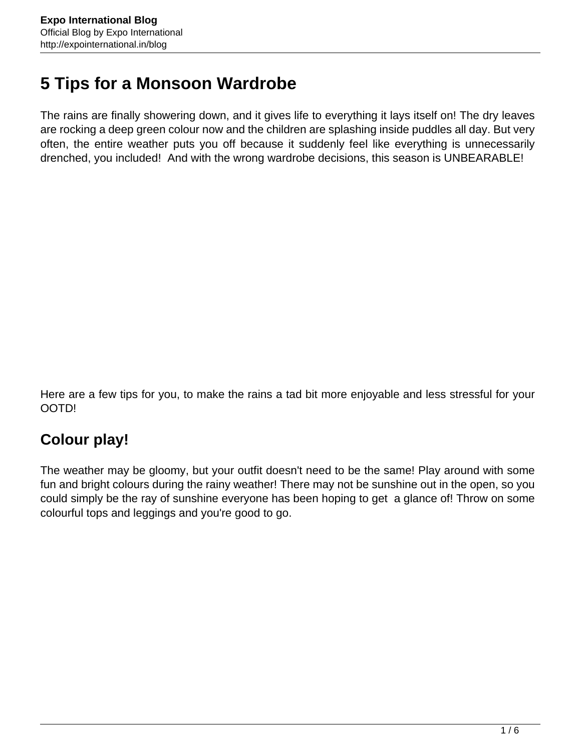# **5 Tips for a Monsoon Wardrobe**

The rains are finally showering down, and it gives life to everything it lays itself on! The dry leaves are rocking a deep green colour now and the children are splashing inside puddles all day. But very often, the entire weather puts you off because it suddenly feel like everything is unnecessarily drenched, you included! And with the wrong wardrobe decisions, this season is UNBEARABLE!

Here are a few tips for you, to make the rains a tad bit more enjoyable and less stressful for your OOTD!

#### **Colour play!**

The weather may be gloomy, but your outfit doesn't need to be the same! Play around with some fun and bright colours during the rainy weather! There may not be sunshine out in the open, so you could simply be the ray of sunshine everyone has been hoping to get a glance of! Throw on some colourful tops and leggings and you're good to go.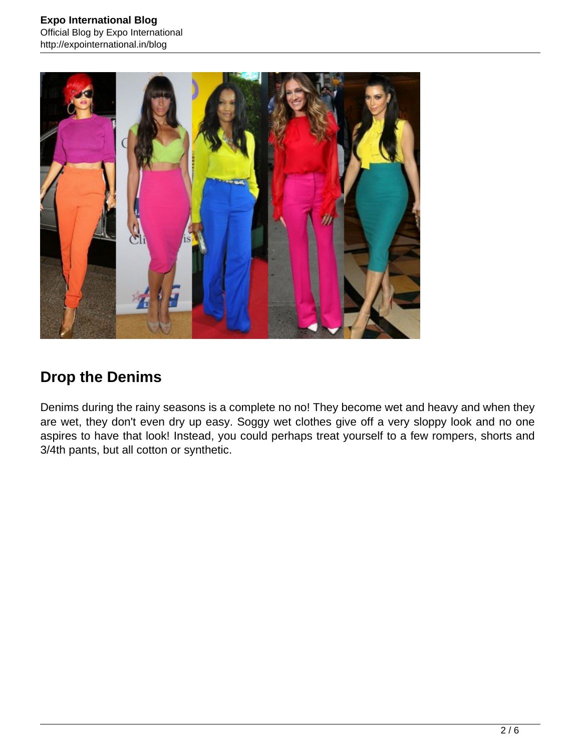

## **Drop the Denims**

Denims during the rainy seasons is a complete no no! They become wet and heavy and when they are wet, they don't even dry up easy. Soggy wet clothes give off a very sloppy look and no one aspires to have that look! Instead, you could perhaps treat yourself to a few rompers, shorts and 3/4th pants, but all cotton or synthetic.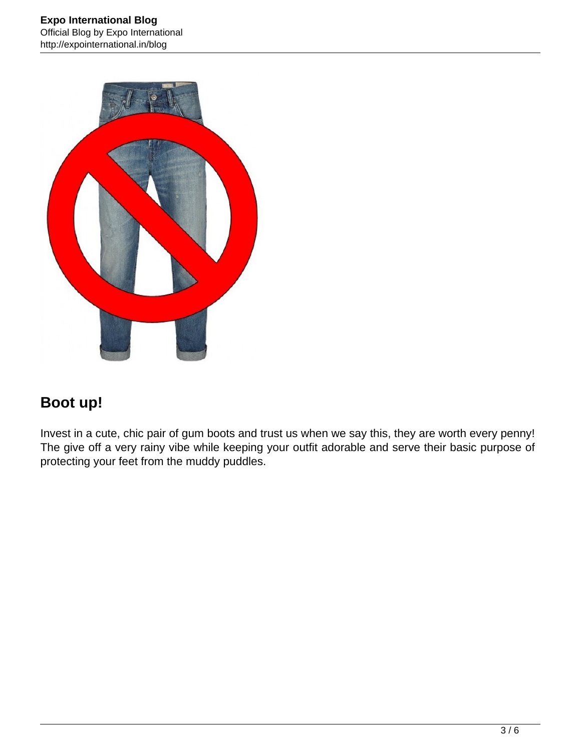

## **Boot up!**

Invest in a cute, chic pair of gum boots and trust us when we say this, they are worth every penny! The give off a very rainy vibe while keeping your outfit adorable and serve their basic purpose of protecting your feet from the muddy puddles.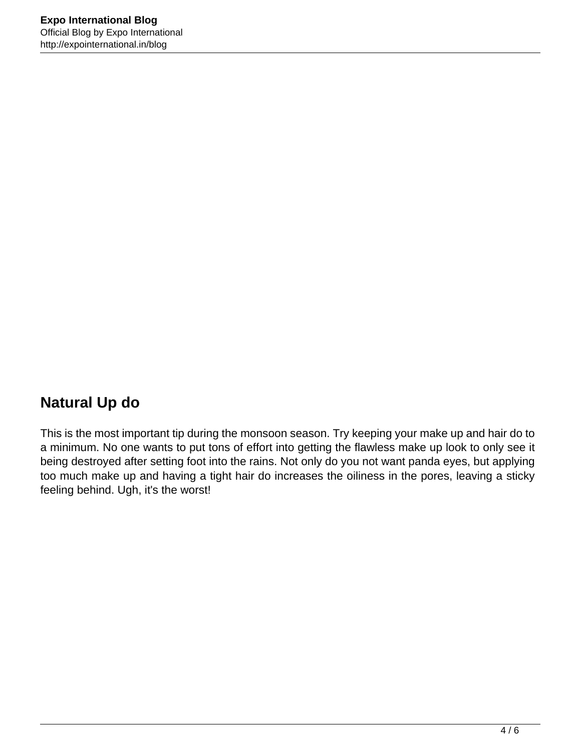## **Natural Up do**

This is the most important tip during the monsoon season. Try keeping your make up and hair do to a minimum. No one wants to put tons of effort into getting the flawless make up look to only see it being destroyed after setting foot into the rains. Not only do you not want panda eyes, but applying too much make up and having a tight hair do increases the oiliness in the pores, leaving a sticky feeling behind. Ugh, it's the worst!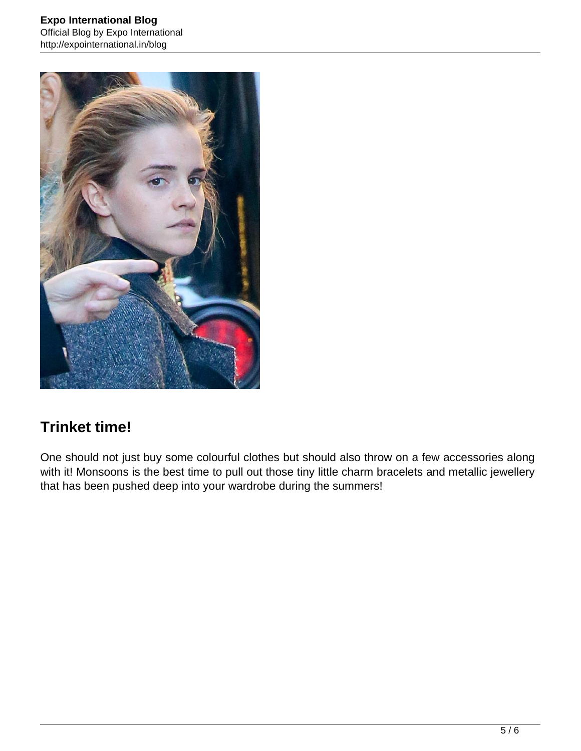

#### **Trinket time!**

One should not just buy some colourful clothes but should also throw on a few accessories along with it! Monsoons is the best time to pull out those tiny little charm bracelets and metallic jewellery that has been pushed deep into your wardrobe during the summers!